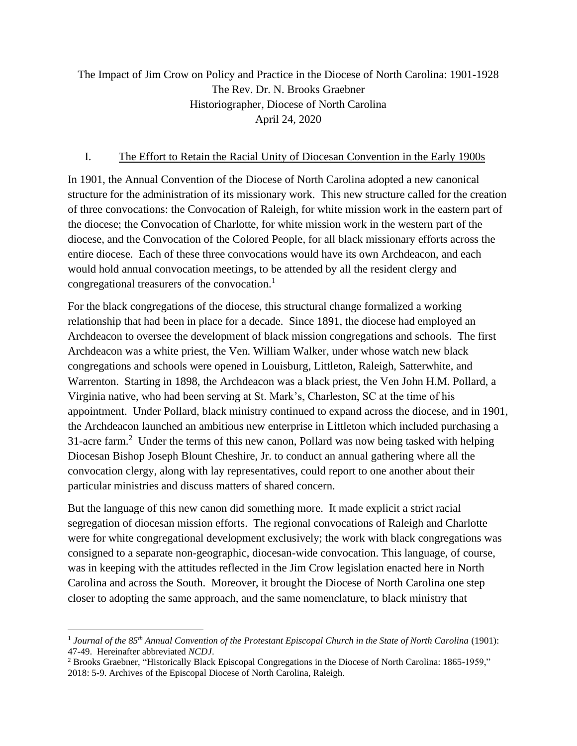## The Impact of Jim Crow on Policy and Practice in the Diocese of North Carolina: 1901-1928 The Rev. Dr. N. Brooks Graebner Historiographer, Diocese of North Carolina April 24, 2020

## I. The Effort to Retain the Racial Unity of Diocesan Convention in the Early 1900s

In 1901, the Annual Convention of the Diocese of North Carolina adopted a new canonical structure for the administration of its missionary work. This new structure called for the creation of three convocations: the Convocation of Raleigh, for white mission work in the eastern part of the diocese; the Convocation of Charlotte, for white mission work in the western part of the diocese, and the Convocation of the Colored People, for all black missionary efforts across the entire diocese. Each of these three convocations would have its own Archdeacon, and each would hold annual convocation meetings, to be attended by all the resident clergy and congregational treasurers of the convocation.<sup>1</sup>

For the black congregations of the diocese, this structural change formalized a working relationship that had been in place for a decade. Since 1891, the diocese had employed an Archdeacon to oversee the development of black mission congregations and schools. The first Archdeacon was a white priest, the Ven. William Walker, under whose watch new black congregations and schools were opened in Louisburg, Littleton, Raleigh, Satterwhite, and Warrenton. Starting in 1898, the Archdeacon was a black priest, the Ven John H.M. Pollard, a Virginia native, who had been serving at St. Mark's, Charleston, SC at the time of his appointment. Under Pollard, black ministry continued to expand across the diocese, and in 1901, the Archdeacon launched an ambitious new enterprise in Littleton which included purchasing a 31-acre farm.<sup>2</sup> Under the terms of this new canon, Pollard was now being tasked with helping Diocesan Bishop Joseph Blount Cheshire, Jr. to conduct an annual gathering where all the convocation clergy, along with lay representatives, could report to one another about their particular ministries and discuss matters of shared concern.

But the language of this new canon did something more. It made explicit a strict racial segregation of diocesan mission efforts. The regional convocations of Raleigh and Charlotte were for white congregational development exclusively; the work with black congregations was consigned to a separate non-geographic, diocesan-wide convocation. This language, of course, was in keeping with the attitudes reflected in the Jim Crow legislation enacted here in North Carolina and across the South. Moreover, it brought the Diocese of North Carolina one step closer to adopting the same approach, and the same nomenclature, to black ministry that

<sup>1</sup> *Journal of the 85th Annual Convention of the Protestant Episcopal Church in the State of North Carolina* (1901): 47-49. Hereinafter abbreviated *NCDJ*.

<sup>2</sup> Brooks Graebner, "Historically Black Episcopal Congregations in the Diocese of North Carolina: 1865-1959," 2018: 5-9. Archives of the Episcopal Diocese of North Carolina, Raleigh.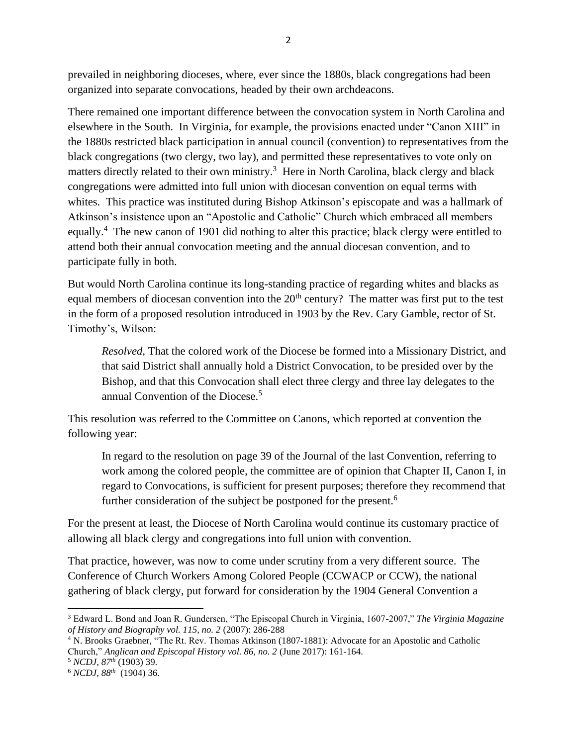prevailed in neighboring dioceses, where, ever since the 1880s, black congregations had been organized into separate convocations, headed by their own archdeacons.

There remained one important difference between the convocation system in North Carolina and elsewhere in the South. In Virginia, for example, the provisions enacted under "Canon XIII" in the 1880s restricted black participation in annual council (convention) to representatives from the black congregations (two clergy, two lay), and permitted these representatives to vote only on matters directly related to their own ministry.<sup>3</sup> Here in North Carolina, black clergy and black congregations were admitted into full union with diocesan convention on equal terms with whites. This practice was instituted during Bishop Atkinson's episcopate and was a hallmark of Atkinson's insistence upon an "Apostolic and Catholic" Church which embraced all members equally.<sup>4</sup> The new canon of 1901 did nothing to alter this practice; black clergy were entitled to attend both their annual convocation meeting and the annual diocesan convention, and to participate fully in both.

But would North Carolina continue its long-standing practice of regarding whites and blacks as equal members of diocesan convention into the 20<sup>th</sup> century? The matter was first put to the test in the form of a proposed resolution introduced in 1903 by the Rev. Cary Gamble, rector of St. Timothy's, Wilson:

*Resolved*, That the colored work of the Diocese be formed into a Missionary District, and that said District shall annually hold a District Convocation, to be presided over by the Bishop, and that this Convocation shall elect three clergy and three lay delegates to the annual Convention of the Diocese.<sup>5</sup>

This resolution was referred to the Committee on Canons, which reported at convention the following year:

In regard to the resolution on page 39 of the Journal of the last Convention, referring to work among the colored people, the committee are of opinion that Chapter II, Canon I, in regard to Convocations, is sufficient for present purposes; therefore they recommend that further consideration of the subject be postponed for the present.<sup>6</sup>

For the present at least, the Diocese of North Carolina would continue its customary practice of allowing all black clergy and congregations into full union with convention.

That practice, however, was now to come under scrutiny from a very different source. The Conference of Church Workers Among Colored People (CCWACP or CCW), the national gathering of black clergy, put forward for consideration by the 1904 General Convention a

<sup>3</sup> Edward L. Bond and Joan R. Gundersen, "The Episcopal Church in Virginia, 1607-2007," *The Virginia Magazine of History and Biography vol. 115, no. 2* (2007): 286-288

<sup>4</sup> N. Brooks Graebner, "The Rt. Rev. Thomas Atkinson (1807-1881): Advocate for an Apostolic and Catholic Church," *Anglican and Episcopal History vol. 86, no. 2* (June 2017): 161-164.

<sup>5</sup> *NCDJ, 87th* (1903) 39.

<sup>6</sup> *NCDJ, 88th* (1904) 36.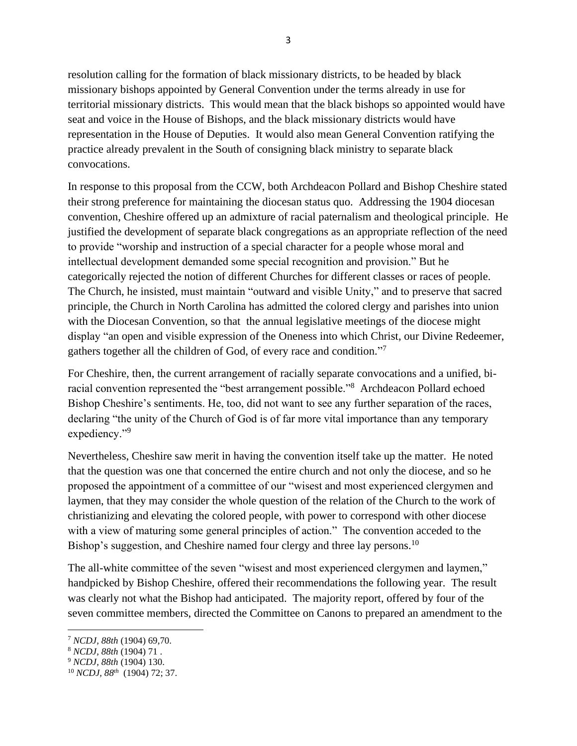resolution calling for the formation of black missionary districts, to be headed by black missionary bishops appointed by General Convention under the terms already in use for territorial missionary districts. This would mean that the black bishops so appointed would have seat and voice in the House of Bishops, and the black missionary districts would have representation in the House of Deputies. It would also mean General Convention ratifying the practice already prevalent in the South of consigning black ministry to separate black convocations.

In response to this proposal from the CCW, both Archdeacon Pollard and Bishop Cheshire stated their strong preference for maintaining the diocesan status quo. Addressing the 1904 diocesan convention, Cheshire offered up an admixture of racial paternalism and theological principle. He justified the development of separate black congregations as an appropriate reflection of the need to provide "worship and instruction of a special character for a people whose moral and intellectual development demanded some special recognition and provision." But he categorically rejected the notion of different Churches for different classes or races of people. The Church, he insisted, must maintain "outward and visible Unity," and to preserve that sacred principle, the Church in North Carolina has admitted the colored clergy and parishes into union with the Diocesan Convention, so that the annual legislative meetings of the diocese might display "an open and visible expression of the Oneness into which Christ, our Divine Redeemer, gathers together all the children of God, of every race and condition."<sup>7</sup>

For Cheshire, then, the current arrangement of racially separate convocations and a unified, biracial convention represented the "best arrangement possible."<sup>8</sup> Archdeacon Pollard echoed Bishop Cheshire's sentiments. He, too, did not want to see any further separation of the races, declaring "the unity of the Church of God is of far more vital importance than any temporary expediency."<sup>9</sup>

Nevertheless, Cheshire saw merit in having the convention itself take up the matter. He noted that the question was one that concerned the entire church and not only the diocese, and so he proposed the appointment of a committee of our "wisest and most experienced clergymen and laymen, that they may consider the whole question of the relation of the Church to the work of christianizing and elevating the colored people, with power to correspond with other diocese with a view of maturing some general principles of action." The convention acceded to the Bishop's suggestion, and Cheshire named four clergy and three lay persons.<sup>10</sup>

The all-white committee of the seven "wisest and most experienced clergymen and laymen," handpicked by Bishop Cheshire, offered their recommendations the following year. The result was clearly not what the Bishop had anticipated. The majority report, offered by four of the seven committee members, directed the Committee on Canons to prepared an amendment to the

<sup>7</sup> *NCDJ, 88th* (1904) 69,70.

<sup>8</sup> *NCDJ, 88th* (1904) 71 .

<sup>9</sup> *NCDJ, 88th* (1904) 130.

<sup>10</sup> *NCDJ, 88th* (1904) 72; 37.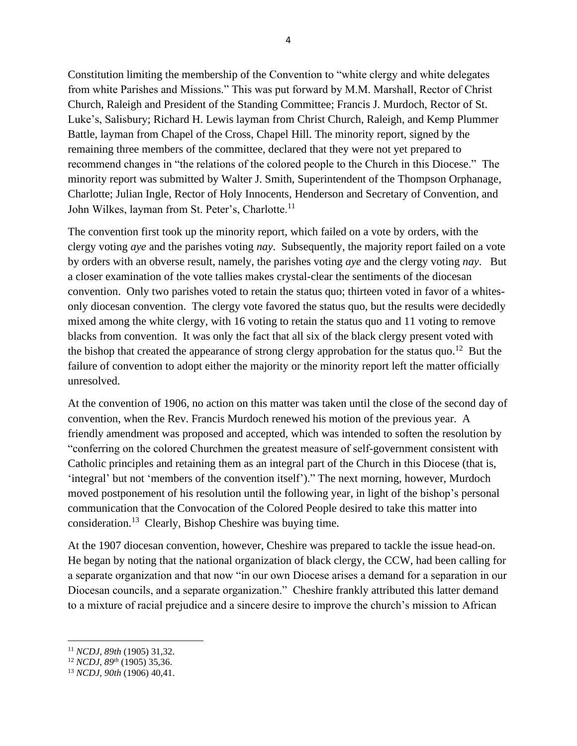Constitution limiting the membership of the Convention to "white clergy and white delegates from white Parishes and Missions." This was put forward by M.M. Marshall, Rector of Christ Church, Raleigh and President of the Standing Committee; Francis J. Murdoch, Rector of St. Luke's, Salisbury; Richard H. Lewis layman from Christ Church, Raleigh, and Kemp Plummer Battle, layman from Chapel of the Cross, Chapel Hill. The minority report, signed by the remaining three members of the committee, declared that they were not yet prepared to recommend changes in "the relations of the colored people to the Church in this Diocese." The minority report was submitted by Walter J. Smith, Superintendent of the Thompson Orphanage, Charlotte; Julian Ingle, Rector of Holy Innocents, Henderson and Secretary of Convention, and John Wilkes, layman from St. Peter's, Charlotte.<sup>11</sup>

The convention first took up the minority report, which failed on a vote by orders, with the clergy voting *aye* and the parishes voting *nay*. Subsequently, the majority report failed on a vote by orders with an obverse result, namely, the parishes voting *aye* and the clergy voting *nay*. But a closer examination of the vote tallies makes crystal-clear the sentiments of the diocesan convention. Only two parishes voted to retain the status quo; thirteen voted in favor of a whitesonly diocesan convention. The clergy vote favored the status quo, but the results were decidedly mixed among the white clergy, with 16 voting to retain the status quo and 11 voting to remove blacks from convention. It was only the fact that all six of the black clergy present voted with the bishop that created the appearance of strong clergy approbation for the status quo.<sup>12</sup> But the failure of convention to adopt either the majority or the minority report left the matter officially unresolved.

At the convention of 1906, no action on this matter was taken until the close of the second day of convention, when the Rev. Francis Murdoch renewed his motion of the previous year. A friendly amendment was proposed and accepted, which was intended to soften the resolution by "conferring on the colored Churchmen the greatest measure of self-government consistent with Catholic principles and retaining them as an integral part of the Church in this Diocese (that is, 'integral' but not 'members of the convention itself')." The next morning, however, Murdoch moved postponement of his resolution until the following year, in light of the bishop's personal communication that the Convocation of the Colored People desired to take this matter into consideration.<sup>13</sup> Clearly, Bishop Cheshire was buying time.

At the 1907 diocesan convention, however, Cheshire was prepared to tackle the issue head-on. He began by noting that the national organization of black clergy, the CCW, had been calling for a separate organization and that now "in our own Diocese arises a demand for a separation in our Diocesan councils, and a separate organization." Cheshire frankly attributed this latter demand to a mixture of racial prejudice and a sincere desire to improve the church's mission to African

<sup>11</sup> *NCDJ, 89th* (1905) 31,32.

<sup>12</sup> *NCDJ, 89th* (1905) 35,36.

<sup>13</sup> *NCDJ, 90th* (1906) 40,41.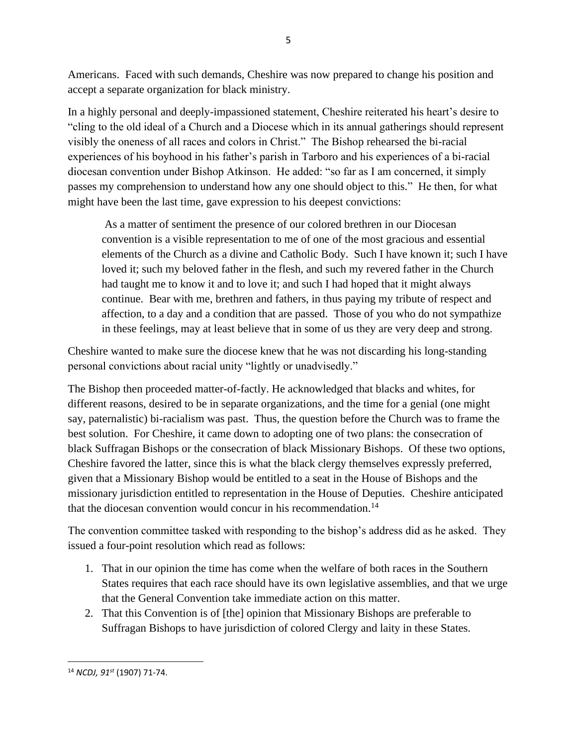Americans. Faced with such demands, Cheshire was now prepared to change his position and accept a separate organization for black ministry.

In a highly personal and deeply-impassioned statement, Cheshire reiterated his heart's desire to "cling to the old ideal of a Church and a Diocese which in its annual gatherings should represent visibly the oneness of all races and colors in Christ." The Bishop rehearsed the bi-racial experiences of his boyhood in his father's parish in Tarboro and his experiences of a bi-racial diocesan convention under Bishop Atkinson. He added: "so far as I am concerned, it simply passes my comprehension to understand how any one should object to this." He then, for what might have been the last time, gave expression to his deepest convictions:

As a matter of sentiment the presence of our colored brethren in our Diocesan convention is a visible representation to me of one of the most gracious and essential elements of the Church as a divine and Catholic Body. Such I have known it; such I have loved it; such my beloved father in the flesh, and such my revered father in the Church had taught me to know it and to love it; and such I had hoped that it might always continue. Bear with me, brethren and fathers, in thus paying my tribute of respect and affection, to a day and a condition that are passed. Those of you who do not sympathize in these feelings, may at least believe that in some of us they are very deep and strong.

Cheshire wanted to make sure the diocese knew that he was not discarding his long-standing personal convictions about racial unity "lightly or unadvisedly."

The Bishop then proceeded matter-of-factly. He acknowledged that blacks and whites, for different reasons, desired to be in separate organizations, and the time for a genial (one might say, paternalistic) bi-racialism was past. Thus, the question before the Church was to frame the best solution. For Cheshire, it came down to adopting one of two plans: the consecration of black Suffragan Bishops or the consecration of black Missionary Bishops. Of these two options, Cheshire favored the latter, since this is what the black clergy themselves expressly preferred, given that a Missionary Bishop would be entitled to a seat in the House of Bishops and the missionary jurisdiction entitled to representation in the House of Deputies. Cheshire anticipated that the diocesan convention would concur in his recommendation.<sup>14</sup>

The convention committee tasked with responding to the bishop's address did as he asked. They issued a four-point resolution which read as follows:

- 1. That in our opinion the time has come when the welfare of both races in the Southern States requires that each race should have its own legislative assemblies, and that we urge that the General Convention take immediate action on this matter.
- 2. That this Convention is of [the] opinion that Missionary Bishops are preferable to Suffragan Bishops to have jurisdiction of colored Clergy and laity in these States.

<sup>14</sup> *NCDJ, 91st* (1907) 71-74.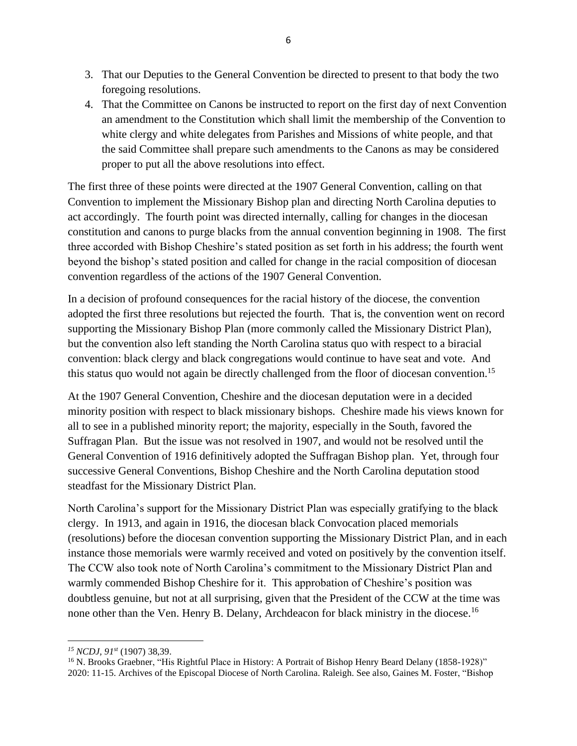- 3. That our Deputies to the General Convention be directed to present to that body the two foregoing resolutions.
- 4. That the Committee on Canons be instructed to report on the first day of next Convention an amendment to the Constitution which shall limit the membership of the Convention to white clergy and white delegates from Parishes and Missions of white people, and that the said Committee shall prepare such amendments to the Canons as may be considered proper to put all the above resolutions into effect.

The first three of these points were directed at the 1907 General Convention, calling on that Convention to implement the Missionary Bishop plan and directing North Carolina deputies to act accordingly. The fourth point was directed internally, calling for changes in the diocesan constitution and canons to purge blacks from the annual convention beginning in 1908. The first three accorded with Bishop Cheshire's stated position as set forth in his address; the fourth went beyond the bishop's stated position and called for change in the racial composition of diocesan convention regardless of the actions of the 1907 General Convention.

In a decision of profound consequences for the racial history of the diocese, the convention adopted the first three resolutions but rejected the fourth. That is, the convention went on record supporting the Missionary Bishop Plan (more commonly called the Missionary District Plan), but the convention also left standing the North Carolina status quo with respect to a biracial convention: black clergy and black congregations would continue to have seat and vote. And this status quo would not again be directly challenged from the floor of diocesan convention.<sup>15</sup>

At the 1907 General Convention, Cheshire and the diocesan deputation were in a decided minority position with respect to black missionary bishops. Cheshire made his views known for all to see in a published minority report; the majority, especially in the South, favored the Suffragan Plan. But the issue was not resolved in 1907, and would not be resolved until the General Convention of 1916 definitively adopted the Suffragan Bishop plan. Yet, through four successive General Conventions, Bishop Cheshire and the North Carolina deputation stood steadfast for the Missionary District Plan.

North Carolina's support for the Missionary District Plan was especially gratifying to the black clergy. In 1913, and again in 1916, the diocesan black Convocation placed memorials (resolutions) before the diocesan convention supporting the Missionary District Plan, and in each instance those memorials were warmly received and voted on positively by the convention itself. The CCW also took note of North Carolina's commitment to the Missionary District Plan and warmly commended Bishop Cheshire for it. This approbation of Cheshire's position was doubtless genuine, but not at all surprising, given that the President of the CCW at the time was none other than the Ven. Henry B. Delany, Archdeacon for black ministry in the diocese.<sup>16</sup>

*<sup>15</sup> NCDJ, 91st* (1907) 38,39.

<sup>&</sup>lt;sup>16</sup> N. Brooks Graebner, "His Rightful Place in History: A Portrait of Bishop Henry Beard Delany (1858-1928)" 2020: 11-15. Archives of the Episcopal Diocese of North Carolina. Raleigh. See also, Gaines M. Foster, "Bishop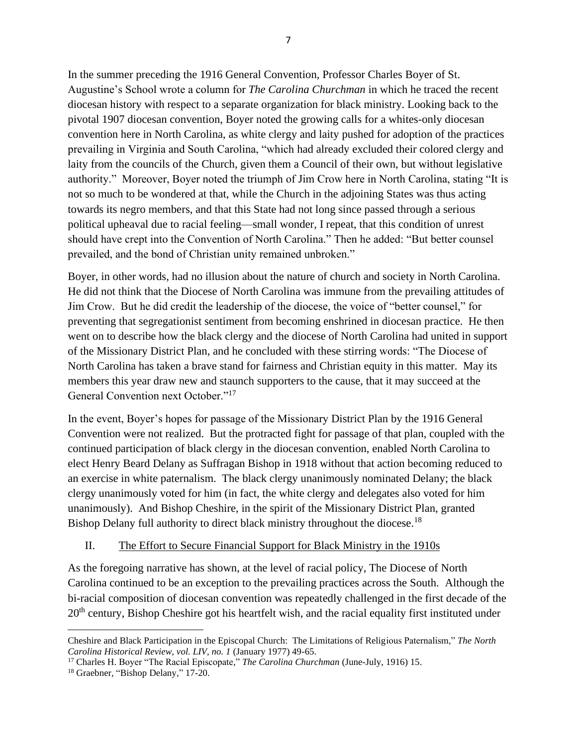In the summer preceding the 1916 General Convention, Professor Charles Boyer of St. Augustine's School wrote a column for *The Carolina Churchman* in which he traced the recent diocesan history with respect to a separate organization for black ministry. Looking back to the pivotal 1907 diocesan convention, Boyer noted the growing calls for a whites-only diocesan convention here in North Carolina, as white clergy and laity pushed for adoption of the practices prevailing in Virginia and South Carolina, "which had already excluded their colored clergy and laity from the councils of the Church, given them a Council of their own, but without legislative authority." Moreover, Boyer noted the triumph of Jim Crow here in North Carolina, stating "It is not so much to be wondered at that, while the Church in the adjoining States was thus acting towards its negro members, and that this State had not long since passed through a serious political upheaval due to racial feeling—small wonder, I repeat, that this condition of unrest should have crept into the Convention of North Carolina." Then he added: "But better counsel prevailed, and the bond of Christian unity remained unbroken."

Boyer, in other words, had no illusion about the nature of church and society in North Carolina. He did not think that the Diocese of North Carolina was immune from the prevailing attitudes of Jim Crow. But he did credit the leadership of the diocese, the voice of "better counsel," for preventing that segregationist sentiment from becoming enshrined in diocesan practice. He then went on to describe how the black clergy and the diocese of North Carolina had united in support of the Missionary District Plan, and he concluded with these stirring words: "The Diocese of North Carolina has taken a brave stand for fairness and Christian equity in this matter. May its members this year draw new and staunch supporters to the cause, that it may succeed at the General Convention next October."<sup>17</sup>

In the event, Boyer's hopes for passage of the Missionary District Plan by the 1916 General Convention were not realized. But the protracted fight for passage of that plan, coupled with the continued participation of black clergy in the diocesan convention, enabled North Carolina to elect Henry Beard Delany as Suffragan Bishop in 1918 without that action becoming reduced to an exercise in white paternalism. The black clergy unanimously nominated Delany; the black clergy unanimously voted for him (in fact, the white clergy and delegates also voted for him unanimously). And Bishop Cheshire, in the spirit of the Missionary District Plan, granted Bishop Delany full authority to direct black ministry throughout the diocese.<sup>18</sup>

## II. The Effort to Secure Financial Support for Black Ministry in the 1910s

As the foregoing narrative has shown, at the level of racial policy, The Diocese of North Carolina continued to be an exception to the prevailing practices across the South. Although the bi-racial composition of diocesan convention was repeatedly challenged in the first decade of the 20<sup>th</sup> century, Bishop Cheshire got his heartfelt wish, and the racial equality first instituted under

Cheshire and Black Participation in the Episcopal Church: The Limitations of Religious Paternalism," *The North Carolina Historical Review, vol. LIV, no. 1* (January 1977) 49-65.

<sup>17</sup> Charles H. Boyer "The Racial Episcopate," *The Carolina Churchman* (June-July, 1916) 15.

<sup>18</sup> Graebner, "Bishop Delany," 17-20.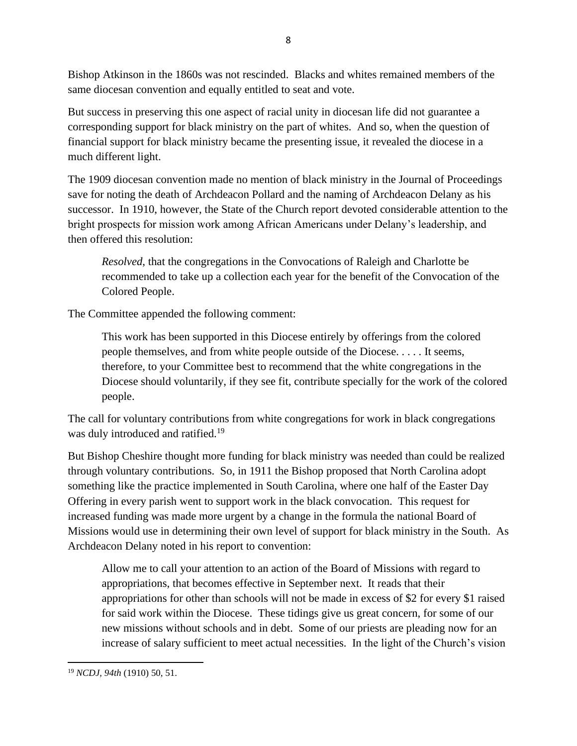Bishop Atkinson in the 1860s was not rescinded. Blacks and whites remained members of the same diocesan convention and equally entitled to seat and vote.

But success in preserving this one aspect of racial unity in diocesan life did not guarantee a corresponding support for black ministry on the part of whites. And so, when the question of financial support for black ministry became the presenting issue, it revealed the diocese in a much different light.

The 1909 diocesan convention made no mention of black ministry in the Journal of Proceedings save for noting the death of Archdeacon Pollard and the naming of Archdeacon Delany as his successor. In 1910, however, the State of the Church report devoted considerable attention to the bright prospects for mission work among African Americans under Delany's leadership, and then offered this resolution:

*Resolved*, that the congregations in the Convocations of Raleigh and Charlotte be recommended to take up a collection each year for the benefit of the Convocation of the Colored People.

The Committee appended the following comment:

This work has been supported in this Diocese entirely by offerings from the colored people themselves, and from white people outside of the Diocese. . . . . It seems, therefore, to your Committee best to recommend that the white congregations in the Diocese should voluntarily, if they see fit, contribute specially for the work of the colored people.

The call for voluntary contributions from white congregations for work in black congregations was duly introduced and ratified.<sup>19</sup>

But Bishop Cheshire thought more funding for black ministry was needed than could be realized through voluntary contributions. So, in 1911 the Bishop proposed that North Carolina adopt something like the practice implemented in South Carolina, where one half of the Easter Day Offering in every parish went to support work in the black convocation. This request for increased funding was made more urgent by a change in the formula the national Board of Missions would use in determining their own level of support for black ministry in the South. As Archdeacon Delany noted in his report to convention:

Allow me to call your attention to an action of the Board of Missions with regard to appropriations, that becomes effective in September next. It reads that their appropriations for other than schools will not be made in excess of \$2 for every \$1 raised for said work within the Diocese. These tidings give us great concern, for some of our new missions without schools and in debt. Some of our priests are pleading now for an increase of salary sufficient to meet actual necessities. In the light of the Church's vision

<sup>19</sup> *NCDJ, 94th* (1910) 50, 51.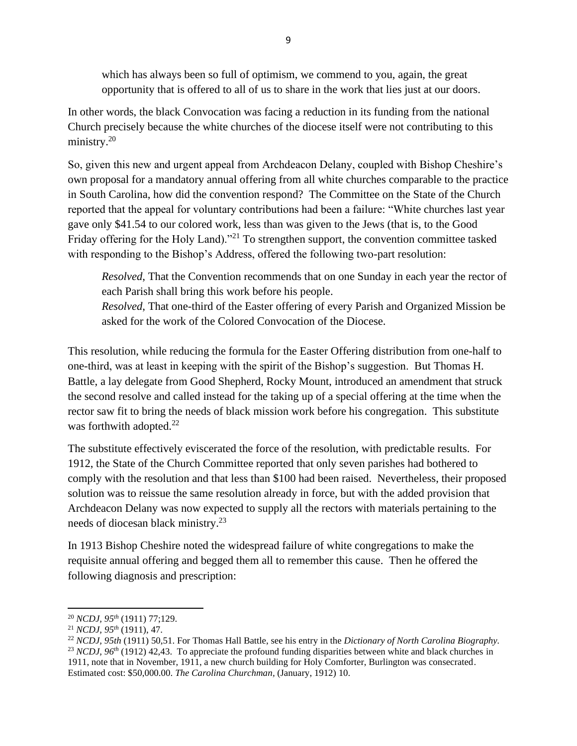which has always been so full of optimism, we commend to you, again, the great opportunity that is offered to all of us to share in the work that lies just at our doors.

In other words, the black Convocation was facing a reduction in its funding from the national Church precisely because the white churches of the diocese itself were not contributing to this ministry.<sup>20</sup>

So, given this new and urgent appeal from Archdeacon Delany, coupled with Bishop Cheshire's own proposal for a mandatory annual offering from all white churches comparable to the practice in South Carolina, how did the convention respond? The Committee on the State of the Church reported that the appeal for voluntary contributions had been a failure: "White churches last year gave only \$41.54 to our colored work, less than was given to the Jews (that is, to the Good Friday offering for the Holy Land)."<sup>21</sup> To strengthen support, the convention committee tasked with responding to the Bishop's Address, offered the following two-part resolution:

*Resolved*, That the Convention recommends that on one Sunday in each year the rector of each Parish shall bring this work before his people.

*Resolved*, That one-third of the Easter offering of every Parish and Organized Mission be asked for the work of the Colored Convocation of the Diocese.

This resolution, while reducing the formula for the Easter Offering distribution from one-half to one-third, was at least in keeping with the spirit of the Bishop's suggestion. But Thomas H. Battle, a lay delegate from Good Shepherd, Rocky Mount, introduced an amendment that struck the second resolve and called instead for the taking up of a special offering at the time when the rector saw fit to bring the needs of black mission work before his congregation. This substitute was forthwith adopted. $22$ 

The substitute effectively eviscerated the force of the resolution, with predictable results. For 1912, the State of the Church Committee reported that only seven parishes had bothered to comply with the resolution and that less than \$100 had been raised. Nevertheless, their proposed solution was to reissue the same resolution already in force, but with the added provision that Archdeacon Delany was now expected to supply all the rectors with materials pertaining to the needs of diocesan black ministry.<sup>23</sup>

In 1913 Bishop Cheshire noted the widespread failure of white congregations to make the requisite annual offering and begged them all to remember this cause. Then he offered the following diagnosis and prescription:

<sup>20</sup> *NCDJ, 95th* (1911) 77;129.

<sup>21</sup> *NCDJ, 95th* (1911), 47.

<sup>22</sup> *NCDJ, 95th* (1911) 50,51. For Thomas Hall Battle, see his entry in the *Dictionary of North Carolina Biography.* <sup>23</sup> *NCDJ*, 96<sup>th</sup> (1912) 42,43. To appreciate the profound funding disparities between white and black churches in 1911, note that in November, 1911, a new church building for Holy Comforter, Burlington was consecrated. Estimated cost: \$50,000.00. *The Carolina Churchman,* (January, 1912) 10.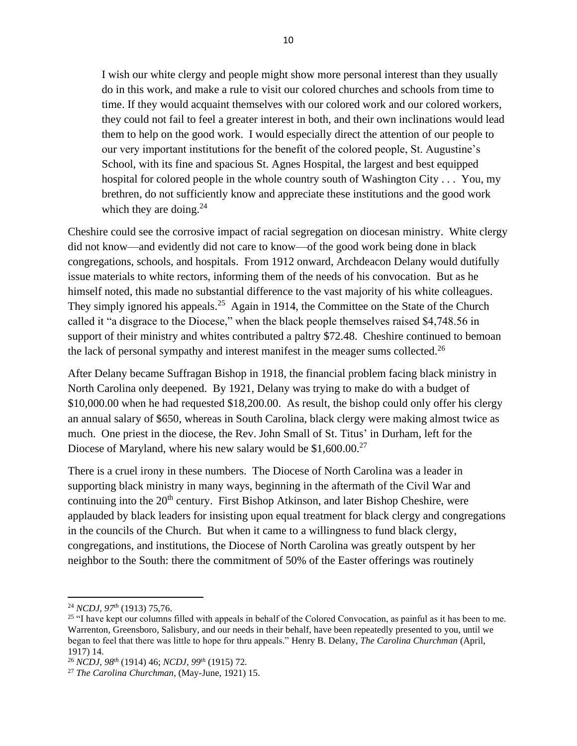I wish our white clergy and people might show more personal interest than they usually do in this work, and make a rule to visit our colored churches and schools from time to time. If they would acquaint themselves with our colored work and our colored workers, they could not fail to feel a greater interest in both, and their own inclinations would lead them to help on the good work. I would especially direct the attention of our people to our very important institutions for the benefit of the colored people, St. Augustine's School, with its fine and spacious St. Agnes Hospital, the largest and best equipped hospital for colored people in the whole country south of Washington City . . . You, my brethren, do not sufficiently know and appreciate these institutions and the good work which they are doing. $24$ 

Cheshire could see the corrosive impact of racial segregation on diocesan ministry. White clergy did not know—and evidently did not care to know—of the good work being done in black congregations, schools, and hospitals. From 1912 onward, Archdeacon Delany would dutifully issue materials to white rectors, informing them of the needs of his convocation. But as he himself noted, this made no substantial difference to the vast majority of his white colleagues. They simply ignored his appeals.<sup>25</sup> Again in 1914, the Committee on the State of the Church called it "a disgrace to the Diocese," when the black people themselves raised \$4,748.56 in support of their ministry and whites contributed a paltry \$72.48. Cheshire continued to bemoan the lack of personal sympathy and interest manifest in the meager sums collected.<sup>26</sup>

After Delany became Suffragan Bishop in 1918, the financial problem facing black ministry in North Carolina only deepened. By 1921, Delany was trying to make do with a budget of \$10,000.00 when he had requested \$18,200.00. As result, the bishop could only offer his clergy an annual salary of \$650, whereas in South Carolina, black clergy were making almost twice as much. One priest in the diocese, the Rev. John Small of St. Titus' in Durham, left for the Diocese of Maryland, where his new salary would be \$1,600.00.<sup>27</sup>

There is a cruel irony in these numbers. The Diocese of North Carolina was a leader in supporting black ministry in many ways, beginning in the aftermath of the Civil War and continuing into the  $20<sup>th</sup>$  century. First Bishop Atkinson, and later Bishop Cheshire, were applauded by black leaders for insisting upon equal treatment for black clergy and congregations in the councils of the Church. But when it came to a willingness to fund black clergy, congregations, and institutions, the Diocese of North Carolina was greatly outspent by her neighbor to the South: there the commitment of 50% of the Easter offerings was routinely

<sup>24</sup> *NCDJ, 97th* (1913) 75,76.

<sup>&</sup>lt;sup>25</sup> "I have kept our columns filled with appeals in behalf of the Colored Convocation, as painful as it has been to me. Warrenton, Greensboro, Salisbury, and our needs in their behalf, have been repeatedly presented to you, until we began to feel that there was little to hope for thru appeals." Henry B. Delany, *The Carolina Churchman* (April, 1917) 14.

<sup>26</sup> *NCDJ, 98th* (1914) 46; *NCDJ, 99th* (1915) 72.

<sup>27</sup> *The Carolina Churchman*, (May-June, 1921) 15.